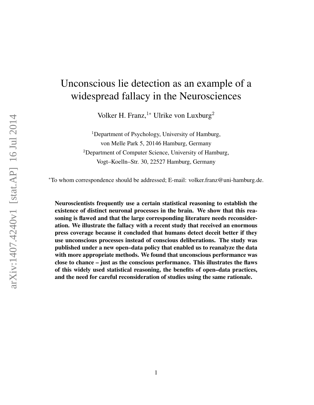# Unconscious lie detection as an example of a widespread fallacy in the Neurosciences

Volker H. Franz,<sup>1∗</sup> Ulrike von Luxburg<sup>2</sup>

<sup>1</sup>Department of Psychology, University of Hamburg, von Melle Park 5, 20146 Hamburg, Germany <sup>2</sup>Department of Computer Science, University of Hamburg, Vogt–Koelln–Str. 30, 22527 Hamburg, Germany

<sup>∗</sup>To whom correspondence should be addressed; E-mail: volker.franz@uni-hamburg.de.

Neuroscientists frequently use a certain statistical reasoning to establish the existence of distinct neuronal processes in the brain. We show that this reasoning is flawed and that the large corresponding literature needs reconsideration. We illustrate the fallacy with a recent study that received an enormous press coverage because it concluded that humans detect deceit better if they use unconscious processes instead of conscious deliberations. The study was published under a new open–data policy that enabled us to reanalyze the data with more appropriate methods. We found that unconscious performance was close to chance – just as the conscious performance. This illustrates the flaws of this widely used statistical reasoning, the benefits of open–data practices, and the need for careful reconsideration of studies using the same rationale.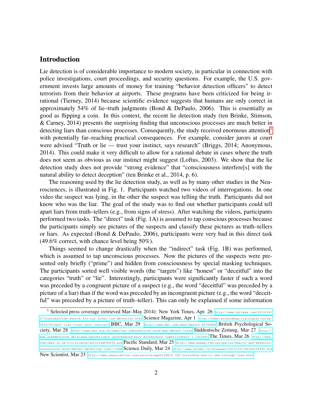#### Introduction

Lie detection is of considerable importance to modern society, in particular in connection with police investigations, court proceedings, and security questions. For example, the U.S. government invests large amounts of money for training "behavior detection officers" to detect terrorists from their behavior at airports. These programs have been criticized for being irrational (Tierney, 2014) because scientific evidence suggests that humans are only correct in approximately 54% of lie–truth judgments (Bond  $\&$  DePaulo, 2006). This is essentially as good as flipping a coin. In this context, the recent lie detection study (ten Brinke, Stimson, & Carney, 2014) presents the surprising finding that unconscious processes are much better in detecting liars than conscious processes. Consequently, the study received enormous attention<sup>[1](#page-1-0)</sup> with potentially far–reaching practical consequences. For example, consider jurors at court were advised "Truth or lie — trust your instinct, says research" (Briggs, 2014; Anonymous, 2014). This could make it very difficult to allow for a rational debate in cases where the truth does not seem as obvious as our instinct might suggest (Loftus, 2003). We show that the lie detection study does not provide "strong evidence" that "consciousness interfere[s] with the natural ability to detect deception" (ten Brinke et al., 2014, p. 6).

The reasoning used by the lie detection study, as well as by many other studies in the Neurosciences, is illustrated in Fig. 1. Participants watched two videos of interrogations. In one video the suspect was lying, in the other the suspect was telling the truth. Participants did not know who was the liar. The goal of the study was to find out whether participants could tell apart liars from truth–tellers (e.g., from signs of stress). After watching the videos, participants performed two tasks. The "direct" task (Fig. 1A) is assumed to tap conscious processes because the participants simply see pictures of the suspects and classify these pictures as truth–tellers or liars. As expected (Bond & DePaulo, 2006), participants were very bad in this direct task (49.6% correct, with chance level being 50%).

Things seemed to change drastically when the "indirect" task (Fig. 1B) was performed, which is assumed to tap unconscious processes. Now the pictures of the suspects were presented only briefly ("prime") and hidden from consciousness by special masking techniques. The participants sorted well visible words (the "targets") like "honest" or "deceitful" into the categories "truth" or "lie". Interestingly, participants were significantly faster if such a word was preceded by a congruent picture of a suspect (e.g., the word "deceitful" was preceded by a picture of a liar) than if the word was preceded by an incongruent picture (e.g., the word "deceitful" was preceded by a picture of truth–teller). This can only be explained if some information

<span id="page-1-0"></span><sup>1</sup> Selected press coverage (retrieved Mar–May 2014): New York Times, Apr. 26 [http://www.nytimes.com/2014/04/](http://www.nytimes.com/2014/04/27/business/the-search-for-our-inner-lie-detectors.html) [27/business/the-search-for-our-inner-lie-detectors.html](http://www.nytimes.com/2014/04/27/business/the-search-for-our-inner-lie-detectors.html) Science Magazine, Apr 1 [http://news.sciencemag.org/signal-noise/](http://news.sciencemag.org/signal-noise/2014/03/spot-liar-trust-your-instinct) [2014/03/spot-liar-trust-your-instinct](http://news.sciencemag.org/signal-noise/2014/03/spot-liar-trust-your-instinct) BBC, Mar 29 <http://www.bbc.com/news/health-26764866> British Psychological Society, Mar 28 <http://www.bps.org.uk/news/our-subconscious-mind-may-detect-liars> Süddeutsche Zeitung, Mar 27 [http://](http://www.sueddeutsche.de/wissen/psychologie-unterbewusstsein-durchschaut-unehrlichkeit-1.1923587) [www.sueddeutsche.de/wissen/psychologie-unterbewusstsein-durchschaut-unehrlichkeit-1.1923587](http://www.sueddeutsche.de/wissen/psychologie-unterbewusstsein-durchschaut-unehrlichkeit-1.1923587) The Times, Mar  $26\,$  [http://www.](http://www.thetimes.co.uk/tto/science/article4045032.ece) [thetimes.co.uk/tto/science/article4045032.ece](http://www.thetimes.co.uk/tto/science/article4045032.ece) Pacific Standard, Mar 25 [http://www.psmag.com/navigation/health-and-behavior/](http://www.psmag.com/navigation/health-and-behavior/unconscious-mind-better-detecting-lies-77368) [unconscious-mind-better-detecting-lies-77368](http://www.psmag.com/navigation/health-and-behavior/unconscious-mind-better-detecting-lies-77368) Science Daily, Mar 24 <http://www.scidai.ly/releases/2014/03/140324104520.htm> New Scientist, Mar 23 <http://www.newscientist.com/article/mg22129610.700-invisible-how-to-see-through-lies.html>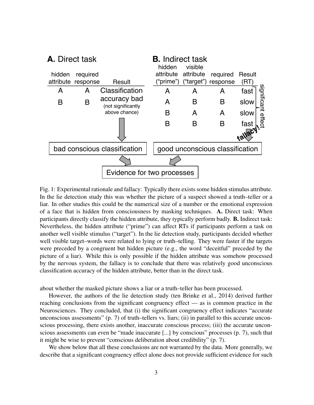

Fig. 1: Experimental rationale and fallacy: Typically there exists some hidden stimulus attribute. In the lie detection study this was whether the picture of a suspect showed a truth–teller or a liar. In other studies this could be the numerical size of a number or the emotional expression of a face that is hidden from consciousness by masking techniques. A. Direct task: When participants directly classify the hidden attribute, they typically perform badly. B. Indirect task: Nevertheless, the hidden attribute ("prime") can affect RTs if participants perform a task on another well visible stimulus ("target"). In the lie detection study, participants decided whether well visible target–words were related to lying or truth–telling. They were faster if the targets were preceded by a congruent but hidden picture (e.g., the word "deceitful" preceded by the picture of a liar). While this is only possible if the hidden attribute was somehow processed by the nervous system, the fallacy is to conclude that there was relatively good unconscious classification accuracy of the hidden attribute, better than in the direct task.

about whether the masked picture shows a liar or a truth–teller has been processed.

However, the authors of the lie detection study (ten Brinke et al., 2014) derived further reaching conclusions from the significant congruency effect — as is common practice in the Neurosciences. They concluded, that (i) the significant congruency effect indicates "accurate unconscious assessments" (p. 7) of truth–tellers vs. liars; (ii) in parallel to this accurate unconscious processing, there exists another, inaccurate conscious process; (iii) the accurate unconscious assessments can even be "made inaccurate [...] by conscious" processes (p. 7), such that it might be wise to prevent "conscious deliberation about credibility" (p. 7).

We show below that all these conclusions are not warranted by the data. More generally, we describe that a significant congruency effect alone does not provide sufficient evidence for such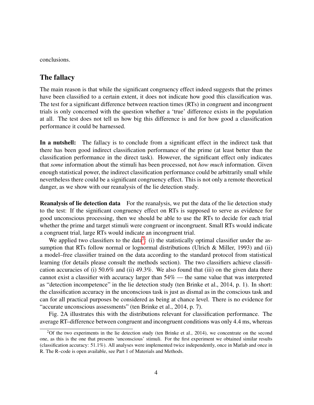conclusions.

#### The fallacy

The main reason is that while the significant congruency effect indeed suggests that the primes have been classified to a certain extent, it does not indicate how good this classification was. The test for a significant difference between reaction times (RTs) in congruent and incongruent trials is only concerned with the question whether a 'true' difference exists in the population at all. The test does not tell us how big this difference is and for how good a classification performance it could be harnessed.

In a nutshell: The fallacy is to conclude from a significant effect in the indirect task that there has been good indirect classification performance of the prime (at least better than the classification performance in the direct task). However, the significant effect only indicates that *some* information about the stimuli has been processed, not *how much* information. Given enough statistical power, the indirect classification performance could be arbitrarily small while nevertheless there could be a significant congruency effect. This is not only a remote theoretical danger, as we show with our reanalysis of the lie detection study.

Reanalysis of lie detection data For the reanalysis, we put the data of the lie detection study to the test: If the significant congruency effect on RTs is supposed to serve as evidence for good unconscious processing, then we should be able to use the RTs to decide for each trial whether the prime and target stimuli were congruent or incongruent. Small RTs would indicate a congruent trial, large RTs would indicate an incongruent trial.

We applied two classifiers to the data<sup>[2](#page-3-0)</sup>: (i) the statistically optimal classifier under the assumption that RTs follow normal or lognormal distributions (Ulrich  $\&$  Miller, 1993) and (ii) a model–free classifier trained on the data according to the standard protocol from statistical learning (for details please consult the methods section). The two classifiers achieve classification accuracies of (i) 50.6% and (ii) 49.3%. We also found that (iii) on the given data there cannot exist a classifier with accuracy larger than 54% — the same value that was interpreted as "detection incompetence" in the lie detection study (ten Brinke et al., 2014, p. 1). In short: the classification accuracy in the unconscious task is just as dismal as in the conscious task and can for all practical purposes be considered as being at chance level. There is no evidence for "accurate unconscious assessments" (ten Brinke et al., 2014, p. 7).

Fig. 2A illustrates this with the distributions relevant for classification performance. The average RT–difference between congruent and incongruent conditions was only 4.4 ms, whereas

<span id="page-3-0"></span><sup>&</sup>lt;sup>2</sup>Of the two experiments in the lie detection study (ten Brinke et al., 2014), we concentrate on the second one, as this is the one that presents 'unconscious' stimuli. For the first experiment we obtained similar results (classification accuracy: 51.1%). All analyses were implemented twice independently, once in Matlab and once in R. The R–code is open available, see Part 1 of Materials and Methods.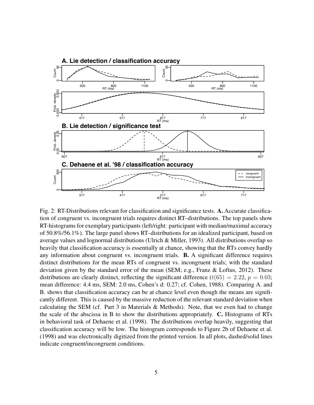

Fig. 2: RT-Distributions relevant for classification and significance tests. A. Accurate classification of congruent vs. incongruent trials requires distinct RT–distributions. The top panels show RT-histograms for exemplary participants (left/right: participant with median/maximal accuracy of 50.8%/56.1%). The large panel shows RT–distributions for an idealized participant, based on average values and lognormal distributions (Ulrich & Miller, 1993). All distributions overlap so heavily that classification accuracy is essentially at chance, showing that the RTs convey hardly any information about congruent vs. incongruent trials. B. A significant difference requires distinct distributions for the mean RTs of congruent vs. incongruent trials; with the standard deviation given by the standard error of the mean (SEM; e.g., Franz & Loftus, 2012). These distributions are clearly distinct, reflecting the significant difference  $(t(65) = 2.22, p = 0.03;$ mean difference: 4.4 ms, SEM: 2.0 ms, Cohen's d: 0.27; cf. Cohen, 1988). Comparing A. and B. shows that classification accuracy can be at chance level even though the means are significantly different. This is caused by the massive reduction of the relevant standard deviation when calculating the SEM (cf. Part 3 in Materials & Methods). Note, that we even had to change the scale of the abscissa in B to show the distributions appropriately. C. Histograms of RTs in behavioral task of Dehaene et al. (1998). The distributions overlap heavily, suggesting that classification accuracy will be low. The histogram corresponds to Figure 2b of Dehaene et al. (1998) and was electronically digitized from the printed version. In all plots, dashed/solid lines indicate congruent/incongruent conditions.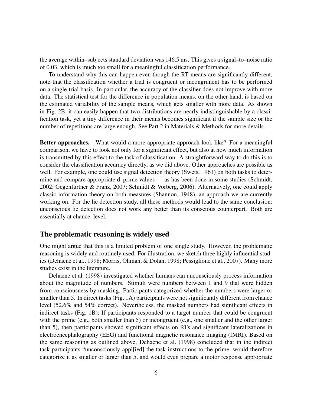the average within–subjects standard deviation was 146.5 ms. This gives a signal–to–noise ratio of 0.03, which is much too small for a meaningful classification performance.

To understand why this can happen even though the RT means are significantly different, note that the classification whether a trial is congruent or incongrunent has to be performed on a single-trial basis. In particular, the accuracy of the classifier does not improve with more data. The statistical test for the difference in population means, on the other hand, is based on the estimated variability of the sample means, which gets smaller with more data. As shown in Fig. 2B, it can easily happen that two distributions are nearly indistinguishable by a classification task, yet a tiny difference in their means becomes significant if the sample size or the number of repetitions are large enough. See Part 2 in Materials & Methods for more details.

Better approaches. What would a more appropriate approach look like? For a meaningful comparison, we have to look not only for a significant effect, but also at how much information is transmitted by this effect to the task of classification. A straightforward way to do this is to consider the classification accuracy directly, as we did above. Other approaches are possible as well. For example, one could use signal detection theory (Swets, 1961) on both tasks to determine and compare appropriate d–prime values — as has been done in some studies (Schmidt, 2002; Gegenfurtner & Franz, 2007; Schmidt & Vorberg, 2006). Alternatively, one could apply classic information theory on both measures (Shannon, 1948), an approach we are currently working on. For the lie detection study, all these methods would lead to the same conclusion: unconscious lie detection does not work any better than its conscious counterpart. Both are essentially at chance–level.

#### The problematic reasoning is widely used

One might argue that this is a limited problem of one single study. However, the problematic reasoning is widely and routinely used. For illustration, we sketch three highly influential studies (Dehaene et al., 1998; Morris, Ohman, & Dolan, 1998; Pessiglione et al., 2007). Many more studies exist in the literature.

Dehaene et al. (1998) investigated whether humans can unconsciously process information about the magnitude of numbers. Stimuli were numbers between 1 and 9 that were hidden from consciousness by masking. Participants categorized whether the numbers were larger or smaller than 5. In direct tasks (Fig. 1A) participants were not significantly different from chance level (52.6% and 54% correct). Nevertheless, the masked numbers had significant effects in indirect tasks (Fig. 1B): If participants responded to a target number that could be congruent with the prime (e.g., both smaller than 5) or incongruent (e.g., one smaller and the other larger than 5), then participants showed significant effects on RTs and significant lateralizations in electroencephalography (EEG) and functional magnetic resonance imaging (fMRI). Based on the same reasoning as outlined above, Dehaene et al. (1998) concluded that in the indirect task participants "unconsciously appl[ied] the task instructions to the prime, would therefore categorize it as smaller or larger than 5, and would even prepare a motor response appropriate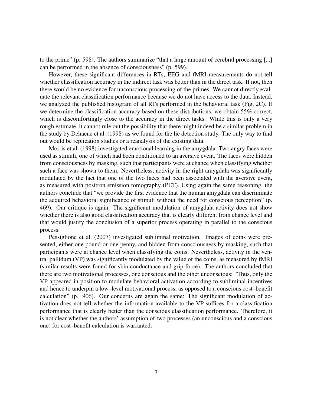to the prime" (p. 598). The authors summarize "that a large amount of cerebral processing [...] can be performed in the absence of consciousness" (p. 599).

However, these significant differences in RTs, EEG and fMRI measurements do not tell whether classification accuracy in the indirect task was better than in the direct task. If not, then there would be no evidence for unconscious processing of the primes. We cannot directly evaluate the relevant classification performance because we do not have access to the data. Instead, we analyzed the published histogram of all RTs performed in the behavioral task (Fig. 2C). If we determine the classification accuracy based on these distributions, we obtain 55% correct, which is discomfortingly close to the accuracy in the direct tasks. While this is only a very rough estimate, it cannot rule out the possibility that there might indeed be a similar problem in the study by Dehaene et al. (1998) as we found for the lie detection study. The only way to find out would be replication studies or a reanalysis of the existing data.

Morris et al. (1998) investigated emotional learning in the amygdala. Two angry faces were used as stimuli, one of which had been conditioned to an aversive event. The faces were hidden from consciousness by masking, such that participants were at chance when classifying whether such a face was shown to them. Nevertheless, activity in the right amygdala was significantly modulated by the fact that one of the two faces had been associated with the aversive event, as measured with positron emission tomography (PET). Using again the same reasoning, the authors conclude that "we provide the first evidence that the human amygdala can discriminate the acquired behavioral significance of stimuli without the need for conscious perception" (p. 469). Our critique is again: The significant modulation of amygdala activity does not show whether there is also good classification accuracy that is clearly different from chance level and that would justify the conclusion of a superior process operating in parallel to the conscious process.

Pessiglione et al. (2007) investigated subliminal motivation. Images of coins were presented, either one pound or one penny, and hidden from consciousness by masking, such that participants were at chance level when classifying the coins. Nevertheless, activity in the ventral pallidum (VP) was significantly modulated by the value of the coins, as measured by fMRI (similar results were found for skin conductance and grip force). The authors concluded that there are two motivational processes, one conscious and the other unconscious: "Thus, only the VP appeared in position to modulate behavioral activation according to subliminal incentives and hence to underpin a low–level motivational process, as opposed to a conscious cost–benefit calculation" (p. 906). Our concerns are again the same: The significant modulation of activation does not tell whether the information available to the VP suffices for a classification performance that is clearly better than the conscious classification performance. Therefore, it is not clear whether the authors' assumption of two processes (an unconscious and a conscious one) for cost–benefit calculation is warranted.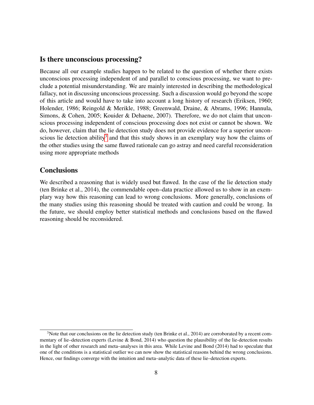#### Is there unconscious processing?

Because all our example studies happen to be related to the question of whether there exists unconscious processing independent of and parallel to conscious processing, we want to preclude a potential misunderstanding. We are mainly interested in describing the methodological fallacy, not in discussing unconscious processing. Such a discussion would go beyond the scope of this article and would have to take into account a long history of research (Eriksen, 1960; Holender, 1986; Reingold & Merikle, 1988; Greenwald, Draine, & Abrams, 1996; Hannula, Simons, & Cohen, 2005; Kouider & Dehaene, 2007). Therefore, we do not claim that unconscious processing independent of conscious processing does not exist or cannot be shown. We do, however, claim that the lie detection study does not provide evidence for a superior uncon-scious lie detection ability<sup>[3](#page-7-0)</sup> and that this study shows in an exemplary way how the claims of the other studies using the same flawed rationale can go astray and need careful reconsideration using more appropriate methods

#### **Conclusions**

We described a reasoning that is widely used but flawed. In the case of the lie detection study (ten Brinke et al., 2014), the commendable open–data practice allowed us to show in an exemplary way how this reasoning can lead to wrong conclusions. More generally, conclusions of the many studies using this reasoning should be treated with caution and could be wrong. In the future, we should employ better statistical methods and conclusions based on the flawed reasoning should be reconsidered.

<span id="page-7-0"></span><sup>&</sup>lt;sup>3</sup>Note that our conclusions on the lie detection study (ten Brinke et al., 2014) are corroborated by a recent commentary of lie–detection experts (Levine & Bond, 2014) who question the plausibility of the lie-detection results in the light of other research and meta–analyses in this area. While Levine and Bond (2014) had to speculate that one of the conditions is a statistical outlier we can now show the statistical reasons behind the wrong conclusions. Hence, our findings converge with the intuition and meta–analytic data of these lie–detection experts.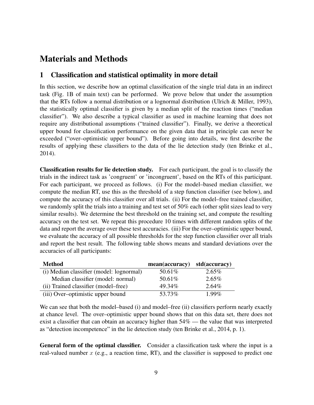# Materials and Methods

#### 1 Classification and statistical optimality in more detail

In this section, we describe how an optimal classification of the single trial data in an indirect task (Fig. 1B of main text) can be performed. We prove below that under the assumption that the RTs follow a normal distribution or a lognormal distribution (Ulrich & Miller, 1993), the statistically optimal classifier is given by a median split of the reaction times ("median classifier"). We also describe a typical classifier as used in machine learning that does not require any distributional assumptions ("trained classifier"). Finally, we derive a theoretical upper bound for classification performance on the given data that in principle can never be exceeded ("over–optimistic upper bound"). Before going into details, we first describe the results of applying these classifiers to the data of the lie detection study (ten Brinke et al., 2014).

Classification results for lie detection study. For each participant, the goal is to classify the trials in the indirect task as 'congruent' or 'incongruent', based on the RTs of this participant. For each participant, we proceed as follows. (i) For the model–based median classifier, we compute the median RT, use this as the threshold of a step function classifier (see below), and compute the accuracy of this classifier over all trials. (ii) For the model–free trained classifier, we randomly split the trials into a training and test set of 50% each (other split sizes lead to very similar results). We determine the best threshold on the training set, and compute the resulting accuracy on the test set. We repeat this procedure 10 times with different random splits of the data and report the average over these test accuracies. (iii) For the over–optimistic upper bound, we evaluate the accuracy of all possible thresholds for the step function classifier over all trials and report the best result. The following table shows means and standard deviations over the accuracies of all participants:

| Method                                   | mean(accuracy) | std(accuracy) |
|------------------------------------------|----------------|---------------|
| (i) Median classifier (model: lognormal) | 50.61\%        | $2.65\%$      |
| Median classifier (model: normal)        | 50.61%         | $2.65\%$      |
| (ii) Trained classifier (model–free)     | 49.34%         | $2.64\%$      |
| (iii) Over-optimistic upper bound        | 53.73%         | $1.99\%$      |

We can see that both the model–based (i) and model–free (ii) classifiers perform nearly exactly at chance level. The over–optimistic upper bound shows that on this data set, there does not exist a classifier that can obtain an accuracy higher than  $54\%$  — the value that was interpreted as "detection incompetence" in the lie detection study (ten Brinke et al., 2014, p. 1).

General form of the optimal classifier. Consider a classification task where the input is a real-valued number  $x$  (e.g., a reaction time, RT), and the classifier is supposed to predict one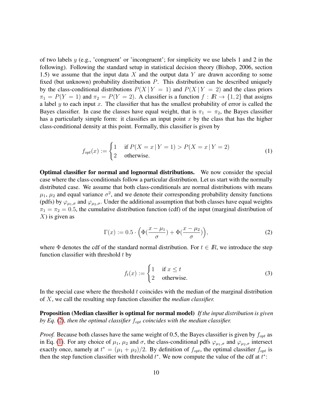of two labels  $y$  (e.g., 'congruent' or 'incongruent'; for simplicity we use labels 1 and 2 in the following). Following the standard setup in statistical decision theory (Bishop, 2006, section 1.5) we assume that the input data  $X$  and the output data  $Y$  are drawn according to some fixed (but unknown) probability distribution P. This distribution can be described uniquely by the class-conditional distributions  $P(X | Y = 1)$  and  $P(X | Y = 2)$  and the class priors  $\pi_1 = P(Y = 1)$  and  $\pi_2 = P(Y = 2)$ . A classifier is a function  $f : \mathbb{R} \to \{1, 2\}$  that assigns a label  $y$  to each input  $x$ . The classifier that has the smallest probability of error is called the Bayes classifier. In case the classes have equal weight, that is  $\pi_1 = \pi_2$ , the Bayes classifier has a particularly simple form: it classifies an input point  $x$  by the class that has the higher class-conditional density at this point. Formally, this classifier is given by

$$
f_{opt}(x) := \begin{cases} 1 & \text{if } P(X = x | Y = 1) > P(X = x | Y = 2) \\ 2 & \text{otherwise.} \end{cases}
$$
 (1)

Optimal classifier for normal and lognormal distributions. We now consider the special case where the class-conditionals follow a particular distribution. Let us start with the normally distributed case. We assume that both class-conditionals are normal distributions with means  $\mu_1$ ,  $\mu_2$  and equal variance  $\sigma^2$ , and we denote their corresponding probability density functions (pdfs) by  $\varphi_{\mu_1,\sigma}$  and  $\varphi_{\mu_2,\sigma}$ . Under the additional assumption that both classes have equal weights  $\pi_1 = \pi_2 = 0.5$ , the cumulative distribution function (cdf) of the input (marginal distribution of  $X$ ) is given as

<span id="page-9-1"></span>
$$
\Gamma(x) := 0.5 \cdot \left( \Phi\left(\frac{x - \mu_1}{\sigma}\right) + \Phi\left(\frac{x - \mu_2}{\sigma}\right) \right),\tag{2}
$$

where  $\Phi$  denotes the cdf of the standard normal distribution. For  $t \in \mathbb{R}$ , we introduce the step function classifier with threshold  $t$  by

<span id="page-9-0"></span>
$$
f_t(x) := \begin{cases} 1 & \text{if } x \le t \\ 2 & \text{otherwise.} \end{cases}
$$
 (3)

In the special case where the threshold  $t$  coincides with the median of the marginal distribution of X, we call the resulting step function classifier the *median classifier.*

Proposition (Median classifier is optimal for normal model) *If the input distribution is given by Eq.* [\(2\)](#page-9-0), then the optimal classifier  $f_{opt}$  coincides with the median classifier.

*Proof.* Because both classes have the same weight of 0.5, the Bayes classifier is given by  $f_{opt}$  as in Eq. [\(1\)](#page-9-1). For any choice of  $\mu_1$ ,  $\mu_2$  and  $\sigma$ , the class-conditional pdfs  $\varphi_{\mu_1,\sigma}$  and  $\varphi_{\mu_2,\sigma}$  intersect exactly once, namely at  $t^* = (\mu_1 + \mu_2)/2$ . By definition of  $f_{opt}$ , the optimal classifier  $f_{opt}$  is then the step function classifier with threshold  $t^*$ . We now compute the value of the cdf at  $t^*$ :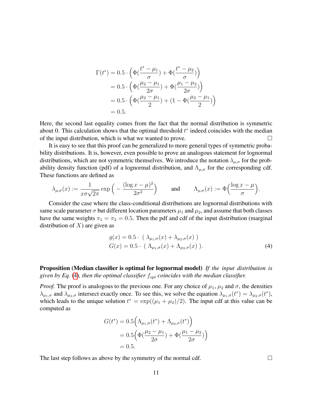$$
\Gamma(t^*) = 0.5 \cdot \left( \Phi\left(\frac{t^* - \mu_1}{\sigma}\right) + \Phi\left(\frac{t^* - \mu_2}{\sigma}\right) \right)
$$
  
= 0.5 \cdot \left( \Phi\left(\frac{\mu\_2 - \mu\_1}{2\sigma}\right) + \Phi\left(\frac{\mu\_1 - \mu\_2}{2\sigma}\right) \right)  
= 0.5 \cdot \left( \Phi\left(\frac{\mu\_2 - \mu\_1}{2}\right) + (1 - \Phi\left(\frac{\mu\_2 - \mu\_1}{2}\right)) \right)  
= 0.5.

Here, the second last equality comes from the fact that the normal distribution is symmetric about 0. This calculation shows that the optimal threshold  $t^*$  indeed coincides with the median of the input distribution, which is what we wanted to prove.  $\Box$ 

It is easy to see that this proof can be generalized to more general types of symmetric probability distributions. It is, however, even possible to prove an analogous statement for lognormal distributions, which are not symmetric themselves. We introduce the notation  $\lambda_{\mu,\sigma}$  for the probability density function (pdf) of a lognormal distribution, and  $\Lambda_{\mu,\sigma}$  for the corresponding cdf. These functions are defined as

$$
\lambda_{\mu,\sigma}(x):=\frac{1}{x\sigma\sqrt{2\pi}}\exp\Big(-\frac{(\log x-\mu)^2}{2\sigma^2}\Big)\qquad\text{and}\qquad\Lambda_{\mu,\sigma}(x):=\Phi\Big(\frac{\log x-\mu}{\sigma}\Big).
$$

Consider the case where the class-conditional distributions are lognormal distributions with same scale parameter  $\sigma$  but different location parameters  $\mu_1$  and  $\mu_2$ , and assume that both classes have the same weights  $\pi_1 = \pi_2 = 0.5$ . Then the pdf and cdf of the input distribution (marginal distribution of  $X$ ) are given as

$$
g(x) = 0.5 \cdot (\lambda_{\mu_1, \sigma}(x) + \lambda_{\mu_2, \sigma}(x))
$$
  
\n
$$
G(x) = 0.5 \cdot (\Lambda_{\mu_1, \sigma}(x) + \Lambda_{\mu_2, \sigma}(x)).
$$
\n(4)

Proposition (Median classifier is optimal for lognormal model) *If the input distribution is given by Eq.* [\(4\)](#page-10-0), then the optimal classifier  $f_{opt}$  coincides with the median classifier.

*Proof.* The proof is analogous to the previous one. For any choice of  $\mu_1$ ,  $\mu_2$  and  $\sigma$ , the densities  $\lambda_{\mu_1,\sigma}$  and  $\lambda_{\mu_2,\sigma}$  intersect exactly once. To see this, we solve the equation  $\lambda_{\mu_1,\sigma}(t^*) = \lambda_{\mu_2,\sigma}(t^*)$ , which leads to the unique solution  $t^* = \exp((\mu_1 + \mu_2)/2)$ . The input cdf at this value can be computed as

$$
G(t^*) = 0.5 \left( \Lambda_{\mu_1, \sigma}(t^*) + \Lambda_{\mu_2, \sigma}(t^*) \right)
$$
  
= 0.5 \left( \Phi\left(\frac{\mu\_2 - \mu\_1}{2\sigma}\right) + \Phi\left(\frac{\mu\_1 - \mu\_2}{2\sigma}\right) \right)  
= 0.5.

The last step follows as above by the symmetry of the normal cdf.  $\Box$ 

<span id="page-10-0"></span>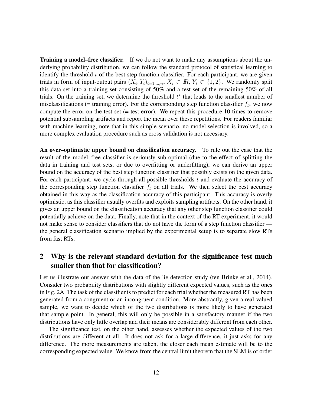**Training a model–free classifier.** If we do not want to make any assumptions about the underlying probability distribution, we can follow the standard protocol of statistical learning to identify the threshold  $t$  of the best step function classifier. For each participant, we are given trials in form of input-output pairs  $(X_i, Y_i)_{i=1,\dots,n}$ ,  $X_i \in \mathbb{R}$ ,  $Y_i \in \{1,2\}$ . We randomly split this data set into a training set consisting of 50% and a test set of the remaining 50% of all trials. On the training set, we determine the threshold  $t^*$  that leads to the smallest number of misclassifications (= training error). For the corresponding step function classifier  $f_{t^*}$  we now compute the error on the test set  $(=$  test error). We repeat this procedure 10 times to remove potential subsampling artifacts and report the mean over these repetitions. For readers familiar with machine learning, note that in this simple scenario, no model selection is involved, so a more complex evaluation procedure such as cross validation is not necessary.

An over–optimistic upper bound on classification accuracy. To rule out the case that the result of the model–free classifier is seriously sub-optimal (due to the effect of splitting the data in training and test sets, or due to overfitting or underfitting), we can derive an upper bound on the accuracy of the best step function classifier that possibly exists on the given data. For each participant, we cycle through all possible thresholds  $t$  and evaluate the accuracy of the corresponding step function classifier  $f_t$  on all trials. We then select the best accuracy obtained in this way as the classification accuracy of this participant. This accuracy is overly optimistic, as this classifier usually overfits and exploits sampling artifacts. On the other hand, it gives an upper bound on the classification accuracy that any other step function classifier could potentially achieve on the data. Finally, note that in the context of the RT experiment, it would not make sense to consider classifiers that do not have the form of a step function classifier the general classification scenario implied by the experimental setup is to separate slow RTs from fast RTs.

#### 2 Why is the relevant standard deviation for the significance test much smaller than that for classification?

Let us illustrate our answer with the data of the lie detection study (ten Brinke et al., 2014). Consider two probability distributions with slightly different expected values, such as the ones in Fig. 2A. The task of the classifier is to predict for each trial whether the measured RT has been generated from a congruent or an incongruent condition. More abstractly, given a real-valued sample, we want to decide which of the two distributions is more likely to have generated that sample point. In general, this will only be possible in a satisfactory manner if the two distributions have only little overlap and their means are considerably different from each other.

The significance test, on the other hand, assesses whether the expected values of the two distributions are different at all. It does not ask for a large difference, it just asks for any difference. The more measurements are taken, the closer each mean estimate will be to the corresponding expected value. We know from the central limit theorem that the SEM is of order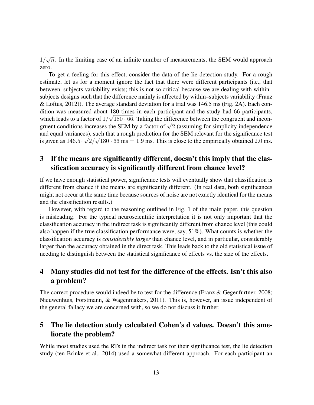1/ √  $\overline{n}$ . In the limiting case of an infinite number of measurements, the SEM would approach zero.

To get a feeling for this effect, consider the data of the lie detection study. For a rough estimate, let us for a moment ignore the fact that there were different participants (i.e., that between–subjects variability exists; this is not so critical because we are dealing with within– subjects designs such that the difference mainly is affected by within–subjects variability (Franz & Loftus, 2012)). The average standard deviation for a trial was 146.5 ms (Fig. 2A). Each condition was measured about 180 times in each participant and the study had 66 participants, which leads to a factor of  $1/\sqrt{180 \cdot 66}$ . Taking the difference between the congruent and inconwhich leads to a factor of  $1/\sqrt{180 \cdot 60}$ . Taking the difference between the congruent and incongruent conditions increases the SEM by a factor of  $\sqrt{2}$  (assuming for simplicity independence and equal variances), such that a rough prediction for the SEM relevant for the significance test is given as  $146.5 \cdot \sqrt{2}/\sqrt{180 \cdot 66}$  ms = 1.9 ms. This is close to the empirically obtained 2.0 ms.

# 3 If the means are significantly different, doesn't this imply that the classification accuracy is significantly different from chance level?

If we have enough statistical power, significance tests will eventually show that classification is different from chance if the means are significantly different. (In real data, both significances might not occur at the same time because sources of noise are not exactly identical for the means and the classification results.)

However, with regard to the reasoning outlined in Fig. 1 of the main paper, this question is misleading. For the typical neuroscientific interpretation it is not only important that the classification accuracy in the indirect task is significantly different from chance level (this could also happen if the true classification performance were, say, 51%). What counts is whether the classification accuracy is *considerably larger* than chance level, and in particular, considerably larger than the accuracy obtained in the direct task. This leads back to the old statistical issue of needing to distinguish between the statistical significance of effects vs. the size of the effects.

## 4 Many studies did not test for the difference of the effects. Isn't this also a problem?

The correct procedure would indeed be to test for the difference (Franz & Gegenfurtner, 2008; Nieuwenhuis, Forstmann, & Wagenmakers, 2011). This is, however, an issue independent of the general fallacy we are concerned with, so we do not discuss it further.

## 5 The lie detection study calculated Cohen's d values. Doesn't this ameliorate the problem?

While most studies used the RTs in the indirect task for their significance test, the lie detection study (ten Brinke et al., 2014) used a somewhat different approach. For each participant an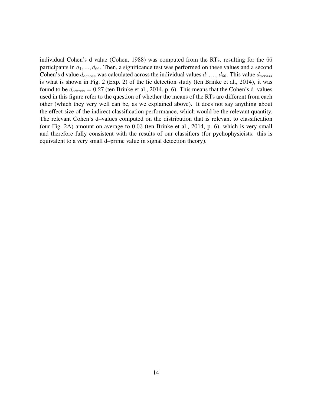individual Cohen's d value (Cohen, 1988) was computed from the RTs, resulting for the 66 participants in  $d_1, ..., d_{66}$ . Then, a significance test was performed on these values and a second Cohen's d value  $d_{across}$  was calculated across the individual values  $d_1, ..., d_{66}$ . This value  $d_{across}$ is what is shown in Fig. 2 (Exp. 2) of the lie detection study (ten Brinke et al., 2014), it was found to be  $d_{across} = 0.27$  (ten Brinke et al., 2014, p. 6). This means that the Cohen's d–values used in this figure refer to the question of whether the means of the RTs are different from each other (which they very well can be, as we explained above). It does not say anything about the effect size of the indirect classification performance, which would be the relevant quantity. The relevant Cohen's d–values computed on the distribution that is relevant to classification (our Fig. 2A) amount on average to 0.03 (ten Brinke et al., 2014, p. 6), which is very small and therefore fully consistent with the results of our classifiers (for pychophysicists: this is equivalent to a very small d–prime value in signal detection theory).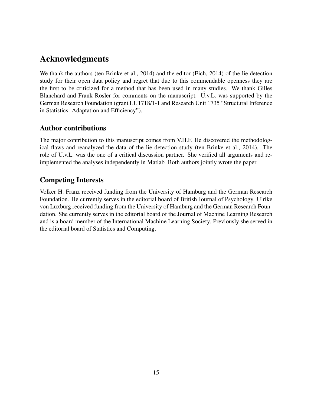# Acknowledgments

We thank the authors (ten Brinke et al., 2014) and the editor (Eich, 2014) of the lie detection study for their open data policy and regret that due to this commendable openness they are the first to be criticized for a method that has been used in many studies. We thank Gilles Blanchard and Frank Rösler for comments on the manuscript. U.v.L. was supported by the German Research Foundation (grant LU1718/1-1 and Research Unit 1735 "Structural Inference in Statistics: Adaptation and Efficiency").

## Author contributions

The major contribution to this manuscript comes from V.H.F. He discovered the methodological flaws and reanalyzed the data of the lie detection study (ten Brinke et al., 2014). The role of U.v.L. was the one of a critical discussion partner. She verified all arguments and reimplemented the analyses independently in Matlab. Both authors jointly wrote the paper.

# Competing Interests

Volker H. Franz received funding from the University of Hamburg and the German Research Foundation. He currently serves in the editorial board of British Journal of Psychology. Ulrike von Luxburg received funding from the University of Hamburg and the German Research Foundation. She currently serves in the editorial board of the Journal of Machine Learning Research and is a board member of the International Machine Learning Society. Previously she served in the editorial board of Statistics and Computing.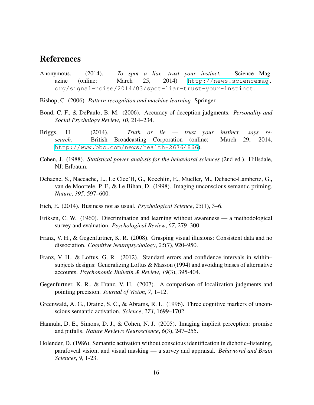# References

- Anonymous. (2014). *To spot a liar, trust your instinct.* Science Magazine (online: March 25, 2014) [http://news.sciencemag.](http://news.sciencemag) org/signal-noise/2014/03/spot-liar-trust-your-instinct.
- Bishop, C. (2006). *Pattern recognition and machine learning.* Springer.
- Bond, C. F., & DePaulo, B. M. (2006). Accuracy of deception judgments. *Personality and Social Psychology Review*, *10*, 214–234.
- Briggs, H. (2014). *Truth or lie trust your instinct, says research.* British Broadcasting Corporation (online: March 29, 2014, <http://www.bbc.com/news/health-26764866>).
- Cohen, J. (1988). *Statistical power analysis for the behavioral sciences* (2nd ed.). Hillsdale, NJ: Erlbaum.
- Dehaene, S., Naccache, L., Le Clec'H, G., Koechlin, E., Mueller, M., Dehaene-Lambertz, G., van de Moortele, P. F., & Le Bihan, D. (1998). Imaging unconscious semantic priming. *Nature*, *395*, 597–600.
- Eich, E. (2014). Business not as usual. *Psychological Science*, *25*(1), 3–6.
- Eriksen, C. W. (1960). Discrimination and learning without awareness a methodological survey and evaluation. *Psychological Review*, *67*, 279–300.
- Franz, V. H., & Gegenfurtner, K. R. (2008). Grasping visual illusions: Consistent data and no dissociation. *Cognitive Neuropsychology*, *25*(7), 920–950.
- Franz, V. H., & Loftus, G. R. (2012). Standard errors and confidence intervals in within– subjects designs: Generalizing Loftus & Masson (1994) and avoiding biases of alternative accounts. *Psychonomic Bulletin & Review*, *19*(3), 395-404.
- Gegenfurtner, K. R., & Franz, V. H. (2007). A comparison of localization judgments and pointing precision. *Journal of Vision*, *7*, 1–12.
- Greenwald, A. G., Draine, S. C., & Abrams, R. L. (1996). Three cognitive markers of unconscious semantic activation. *Science*, *273*, 1699–1702.
- Hannula, D. E., Simons, D. J., & Cohen, N. J. (2005). Imaging implicit perception: promise and pitfalls. *Nature Reviews Neuroscience*, *6*(3), 247–255.
- Holender, D. (1986). Semantic activation without conscious identification in dichotic–listening, parafoveal vision, and visual masking — a survey and appraisal. *Behavioral and Brain Sciences*, *9*, 1-23.